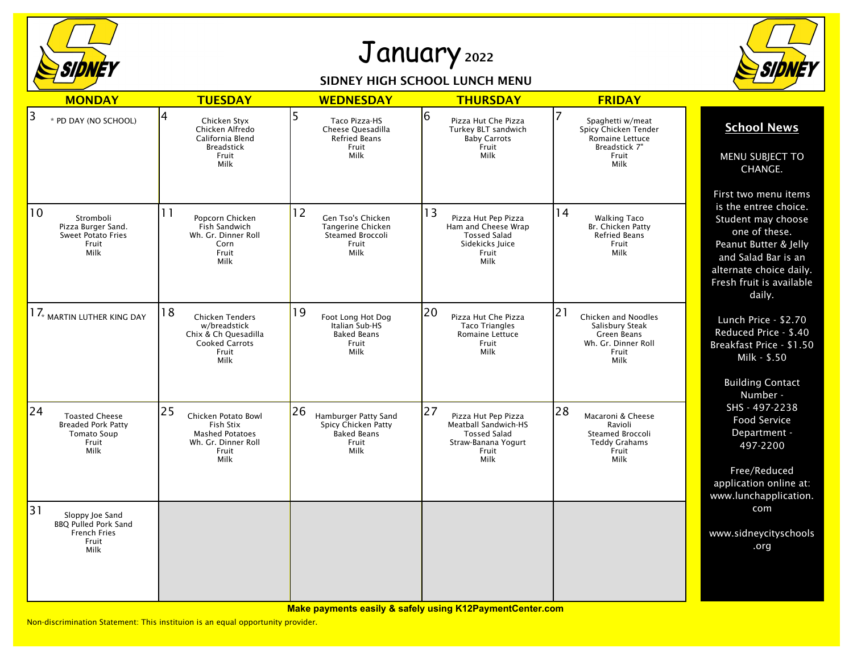

## January <sup>2022</sup>

## SIDNEY HIGH SCHOOL LUNCH MENU



| <b>MONDAY</b>                                                                                   | <b>TUESDAY</b>                                                                                                 | <b>WEDNESDAY</b>                                                                                | <b>THURSDAY</b>                                                                                                  | <b>FRIDAY</b>                                                                                       |                                                                                                                                                                                                       |
|-------------------------------------------------------------------------------------------------|----------------------------------------------------------------------------------------------------------------|-------------------------------------------------------------------------------------------------|------------------------------------------------------------------------------------------------------------------|-----------------------------------------------------------------------------------------------------|-------------------------------------------------------------------------------------------------------------------------------------------------------------------------------------------------------|
| 3<br>* PD DAY (NO SCHOOL)                                                                       | 4<br>Chicken Styx<br>Chicken Alfredo<br>California Blend<br><b>Breadstick</b><br>Fruit<br>Milk                 | 5<br>Taco Pizza-HS<br>Cheese Quesadilla<br><b>Refried Beans</b><br>Fruit<br>Milk                | 6<br>Pizza Hut Che Pizza<br>Turkey BLT sandwich<br><b>Baby Carrots</b><br>Fruit<br>Milk                          | Spaghetti w/meat<br>Spicy Chicken Tender<br>Romaine Lettuce<br>Breadstick 7"<br>Fruit<br>Milk       | <b>School News</b><br>MENU SUBJECT TO<br>CHANGE.                                                                                                                                                      |
| 10<br>Stromboli<br>Pizza Burger Sand.<br><b>Sweet Potato Fries</b><br>Fruit<br>Milk             | 11<br>Popcorn Chicken<br>Fish Sandwich<br>Wh. Gr. Dinner Roll<br>Corn<br>Fruit<br>Milk                         | 12<br>Gen Tso's Chicken<br>Tangerine Chicken<br>Steamed Broccoli<br>Fruit<br>Milk               | 13<br>Pizza Hut Pep Pizza<br>Ham and Cheese Wrap<br><b>Tossed Salad</b><br>Sidekicks Juice<br>Fruit<br>Milk      | 14<br><b>Walking Taco</b><br>Br. Chicken Patty<br><b>Refried Beans</b><br>Fruit<br>Milk             | First two menu items<br>is the entree choice.<br>Student may choose<br>one of these.<br>Peanut Butter & Jelly<br>and Salad Bar is an<br>alternate choice daily.<br>Fresh fruit is available<br>daily. |
| 17 <sup>*</sup> MARTIN LUTHER KING DAY                                                          | 18<br><b>Chicken Tenders</b><br>w/breadstick<br>Chix & Ch Quesadilla<br><b>Cooked Carrots</b><br>Fruit<br>Milk | 19<br>Foot Long Hot Dog<br>Italian Sub-HS<br><b>Baked Beans</b><br>Fruit<br>Milk                | 20<br>Pizza Hut Che Pizza<br><b>Taco Triangles</b><br>Romaine Lettuce<br>Fruit<br>Milk                           | 21<br>Chicken and Noodles<br>Salisbury Steak<br>Green Beans<br>Wh. Gr. Dinner Roll<br>Fruit<br>Milk | Lunch Price - \$2.70<br>Reduced Price - \$.40<br>Breakfast Price - \$1.50<br>Milk - \$.50<br><b>Building Contact</b><br>Number -                                                                      |
| 24<br><b>Toasted Cheese</b><br><b>Breaded Pork Patty</b><br><b>Tomato Soup</b><br>Fruit<br>Milk | 25<br>Chicken Potato Bowl<br>Fish Stix<br><b>Mashed Potatoes</b><br>Wh. Gr. Dinner Roll<br>Fruit<br>Milk       | 26<br>Hamburger Patty Sand<br>Spicy Chicken Patty<br><b>Baked Beans</b><br>Fruit<br><b>Milk</b> | 27<br>Pizza Hut Pep Pizza<br>Meatball Sandwich-HS<br><b>Tossed Salad</b><br>Straw-Banana Yogurt<br>Fruit<br>Milk | 28<br>Macaroni & Cheese<br>Ravioli<br>Steamed Broccoli<br><b>Teddy Grahams</b><br>Fruit<br>Milk     | SHS - 497-2238<br><b>Food Service</b><br>Department -<br>497-2200<br>Free/Reduced<br>application online at:<br>www.lunchapplication.                                                                  |
| 31<br>Sloppy Joe Sand<br><b>BBQ Pulled Pork Sand</b><br><b>French Fries</b><br>Fruit<br>Milk    |                                                                                                                |                                                                                                 |                                                                                                                  |                                                                                                     | com<br>www.sidneycityschools<br>.org                                                                                                                                                                  |

**Make payments easily & safely using K12PaymentCenter.com**

Non-discrimination Statement: This instituion is an equal opportunity provider.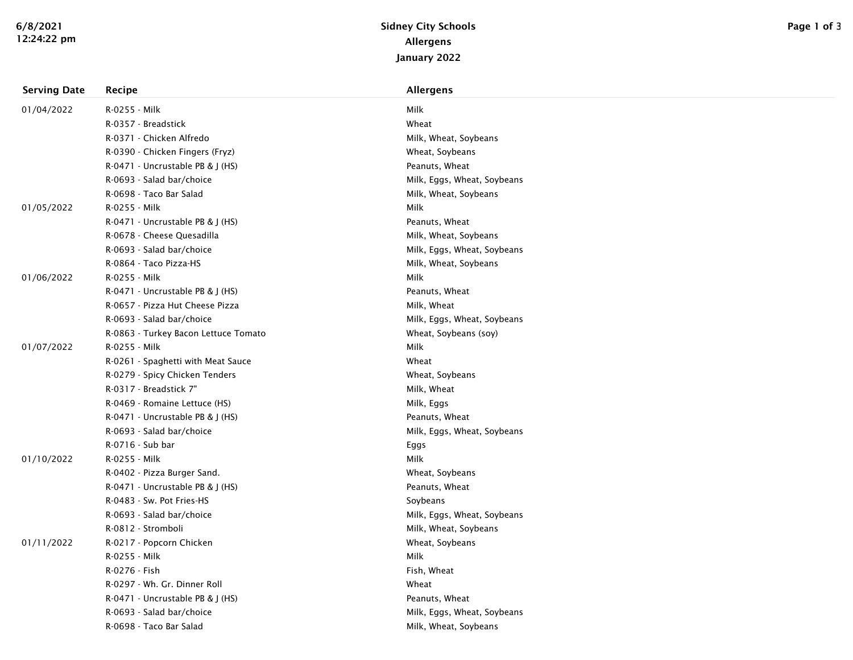| <b>Serving Date</b> | Recipe                               | <b>Allergens</b>            |
|---------------------|--------------------------------------|-----------------------------|
| 01/04/2022          | R-0255 - Milk                        | Milk                        |
|                     | R-0357 - Breadstick                  | Wheat                       |
|                     | R-0371 - Chicken Alfredo             | Milk, Wheat, Soybeans       |
|                     | R-0390 - Chicken Fingers (Fryz)      | Wheat, Soybeans             |
|                     | R-0471 - Uncrustable PB & J (HS)     | Peanuts, Wheat              |
|                     | R-0693 - Salad bar/choice            | Milk, Eggs, Wheat, Soybeans |
|                     | R-0698 - Taco Bar Salad              | Milk, Wheat, Soybeans       |
| 01/05/2022          | R-0255 - Milk                        | Milk                        |
|                     | R-0471 - Uncrustable PB & J (HS)     | Peanuts, Wheat              |
|                     | R-0678 - Cheese Quesadilla           | Milk, Wheat, Soybeans       |
|                     | R-0693 - Salad bar/choice            | Milk, Eggs, Wheat, Soybeans |
|                     | R-0864 - Taco Pizza-HS               | Milk, Wheat, Soybeans       |
| 01/06/2022          | R-0255 - Milk                        | Milk                        |
|                     | R-0471 - Uncrustable PB & J (HS)     | Peanuts, Wheat              |
|                     | R-0657 - Pizza Hut Cheese Pizza      | Milk, Wheat                 |
|                     | R-0693 - Salad bar/choice            | Milk, Eggs, Wheat, Soybeans |
|                     | R-0863 - Turkey Bacon Lettuce Tomato | Wheat, Soybeans (soy)       |
| 01/07/2022          | R-0255 - Milk                        | Milk                        |
|                     | R-0261 - Spaghetti with Meat Sauce   | Wheat                       |
|                     | R-0279 - Spicy Chicken Tenders       | Wheat, Soybeans             |
|                     | R-0317 - Breadstick 7"               | Milk, Wheat                 |
|                     | R-0469 - Romaine Lettuce (HS)        | Milk, Eggs                  |
|                     | R-0471 - Uncrustable PB & J (HS)     | Peanuts, Wheat              |
|                     | R-0693 - Salad bar/choice            | Milk, Eggs, Wheat, Soybeans |
|                     | R-0716 - Sub bar                     | Eggs                        |
| 01/10/2022          | R-0255 - Milk                        | Milk                        |
|                     | R-0402 - Pizza Burger Sand.          | Wheat, Soybeans             |
|                     | R-0471 - Uncrustable PB & J (HS)     | Peanuts, Wheat              |
|                     | R-0483 - Sw. Pot Fries-HS            | Soybeans                    |
|                     | R-0693 - Salad bar/choice            | Milk, Eggs, Wheat, Soybeans |
|                     | R-0812 - Stromboli                   | Milk, Wheat, Soybeans       |
| 01/11/2022          | R-0217 - Popcorn Chicken             | Wheat, Soybeans             |
|                     | R-0255 - Milk                        | Milk                        |
|                     | R-0276 - Fish                        | Fish, Wheat                 |
|                     | R-0297 - Wh. Gr. Dinner Roll         | Wheat                       |
|                     | R-0471 - Uncrustable PB & J (HS)     | Peanuts, Wheat              |
|                     | R-0693 - Salad bar/choice            | Milk, Eggs, Wheat, Soybeans |
|                     | R-0698 - Taco Bar Salad              | Milk, Wheat, Soybeans       |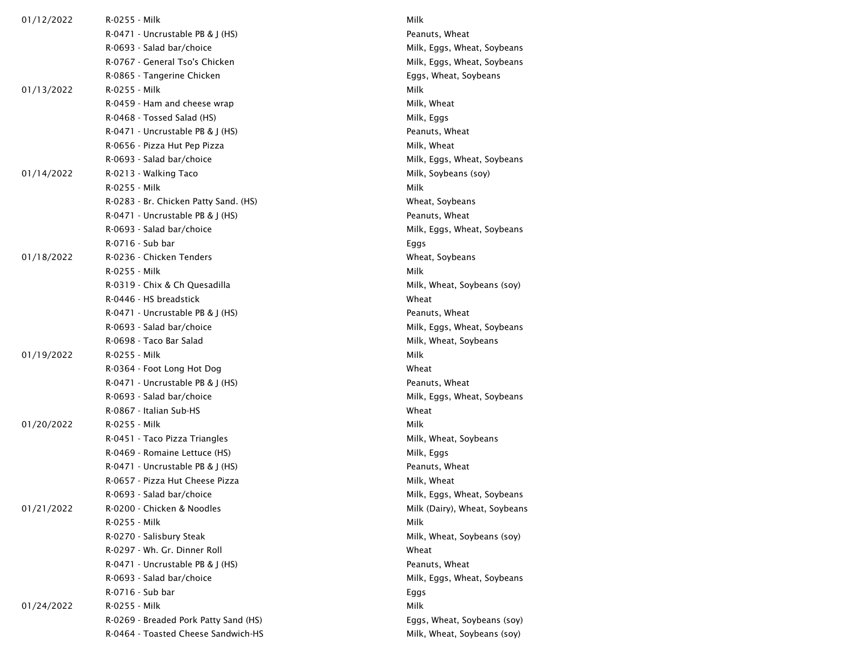| 01/12/2022 | R-0255 - Milk                         | Milk                          |  |
|------------|---------------------------------------|-------------------------------|--|
|            | R-0471 - Uncrustable PB & J (HS)      | Peanuts, Wheat                |  |
|            | R-0693 - Salad bar/choice             | Milk, Eggs, Wheat, Soybeans   |  |
|            | R-0767 - General Tso's Chicken        | Milk, Eggs, Wheat, Soybeans   |  |
|            | R-0865 - Tangerine Chicken            | Eggs, Wheat, Soybeans         |  |
| 01/13/2022 | R-0255 - Milk                         | Milk                          |  |
|            | R-0459 - Ham and cheese wrap          | Milk, Wheat                   |  |
|            | R-0468 - Tossed Salad (HS)            | Milk, Eggs                    |  |
|            | R-0471 - Uncrustable PB & J (HS)      | Peanuts, Wheat                |  |
|            | R-0656 - Pizza Hut Pep Pizza          | Milk, Wheat                   |  |
|            | R-0693 - Salad bar/choice             | Milk, Eggs, Wheat, Soybeans   |  |
| 01/14/2022 | R-0213 - Walking Taco                 | Milk, Soybeans (soy)          |  |
|            | R-0255 - Milk                         | Milk                          |  |
|            | R-0283 - Br. Chicken Patty Sand. (HS) | Wheat, Soybeans               |  |
|            | R-0471 - Uncrustable PB & J (HS)      | Peanuts, Wheat                |  |
|            | R-0693 - Salad bar/choice             | Milk, Eggs, Wheat, Soybeans   |  |
|            | R-0716 - Sub bar                      | Eggs                          |  |
| 01/18/2022 | R-0236 - Chicken Tenders              | Wheat, Soybeans               |  |
|            | R-0255 - Milk                         | Milk                          |  |
|            | R-0319 - Chix & Ch Quesadilla         | Milk, Wheat, Soybeans (soy)   |  |
|            | R-0446 - HS breadstick                | Wheat                         |  |
|            | $R-0471$ - Uncrustable PB & J (HS)    | Peanuts, Wheat                |  |
|            | R-0693 - Salad bar/choice             | Milk, Eggs, Wheat, Soybeans   |  |
|            | R-0698 - Taco Bar Salad               | Milk, Wheat, Soybeans         |  |
| 01/19/2022 | R-0255 - Milk                         | Milk                          |  |
|            | R-0364 - Foot Long Hot Dog            | Wheat                         |  |
|            | $R-0471$ - Uncrustable PB & J (HS)    | Peanuts, Wheat                |  |
|            | R-0693 - Salad bar/choice             | Milk, Eggs, Wheat, Soybeans   |  |
|            | R-0867 - Italian Sub-HS               | Wheat                         |  |
| 01/20/2022 | R-0255 - Milk                         | Milk                          |  |
|            | R-0451 - Taco Pizza Triangles         | Milk, Wheat, Soybeans         |  |
|            | R-0469 - Romaine Lettuce (HS)         | Milk, Eggs                    |  |
|            | $R-0471$ - Uncrustable PB & J (HS)    | Peanuts, Wheat                |  |
|            | R-0657 - Pizza Hut Cheese Pizza       | Milk, Wheat                   |  |
|            | R-0693 - Salad bar/choice             | Milk, Eggs, Wheat, Soybeans   |  |
| 01/21/2022 | R-0200 - Chicken & Noodles            | Milk (Dairy), Wheat, Soybeans |  |
|            | R-0255 - Milk                         | Milk                          |  |
|            | R-0270 - Salisbury Steak              | Milk, Wheat, Soybeans (soy)   |  |
|            | R-0297 - Wh. Gr. Dinner Roll          | Wheat                         |  |
|            | R-0471 - Uncrustable PB & J (HS)      | Peanuts, Wheat                |  |
|            | R-0693 - Salad bar/choice             | Milk, Eggs, Wheat, Soybeans   |  |
|            | R-0716 - Sub bar                      | Eggs                          |  |
| 01/24/2022 | R-0255 - Milk                         | Milk                          |  |
|            | R-0269 - Breaded Pork Patty Sand (HS) | Eggs, Wheat, Soybeans (soy)   |  |
|            | R-0464 - Toasted Cheese Sandwich-HS   | Milk, Wheat, Soybeans (soy)   |  |